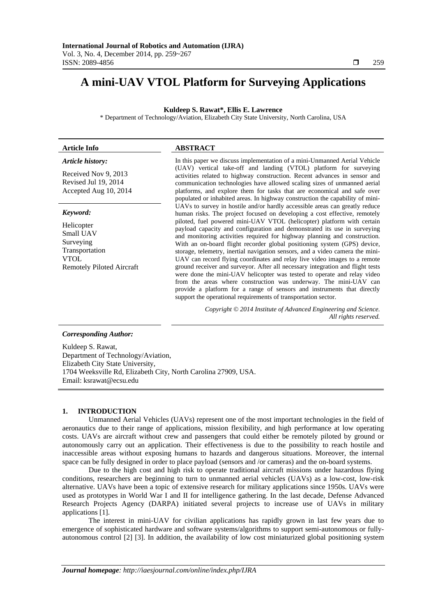# **A mini-UAV VTOL Platform for Surveying Applications**

### **Kuldeep S. Rawat\*, Ellis E. Lawrence**

\* Department of Technology/Aviation, Elizabeth City State University, North Carolina, USA

#### **Article Info ABSTRACT** *Article history:*  Received Nov 9, 2013 Revised Jul 19, 2014 Accepted Aug 10, 2014 In this paper we discuss implementation of a mini-Unmanned Aerial Vehicle (UAV) vertical take-off and landing (VTOL) platform for surveying activities related to highway construction. Recent advances in sensor and communication technologies have allowed scaling sizes of unmanned aerial platforms, and explore them for tasks that are economical and safe over populated or inhabited areas. In highway construction the capability of mini-UAVs to survey in hostile and/or hardly accessible areas can greatly reduce human risks. The project focused on developing a cost effective, remotely piloted, fuel powered mini-UAV VTOL (helicopter) platform with certain payload capacity and configuration and demonstrated its use in surveying and monitoring activities required for highway planning and construction. With an on-board flight recorder global positioning system (GPS) device, storage, telemetry, inertial navigation sensors, and a video camera the mini-UAV can record flying coordinates and relay live video images to a remote *Keyword:*  Helicopter Small UAV Surveying Transportation VTOL Remotely Piloted Aircraft

ground receiver and surveyor. After all necessary integration and flight tests were done the mini-UAV helicopter was tested to operate and relay video from the areas where construction was underway. The mini-UAV can provide a platform for a range of sensors and instruments that directly support the operational requirements of transportation sector.

> *Copyright © 2014 Institute of Advanced Engineering and Science. All rights reserved.*

# *Corresponding Author:*

Kuldeep S. Rawat, Department of Technology/Aviation, Elizabeth City State University, 1704 Weeksville Rd, Elizabeth City, North Carolina 27909, USA. Email: ksrawat@ecsu.edu

# **1. INTRODUCTION**

Unmanned Aerial Vehicles (UAVs) represent one of the most important technologies in the field of aeronautics due to their range of applications, mission flexibility, and high performance at low operating costs. UAVs are aircraft without crew and passengers that could either be remotely piloted by ground or autonomously carry out an application. Their effectiveness is due to the possibility to reach hostile and inaccessible areas without exposing humans to hazards and dangerous situations. Moreover, the internal space can be fully designed in order to place payload (sensors and /or cameras) and the on-board systems.

Due to the high cost and high risk to operate traditional aircraft missions under hazardous flying conditions, researchers are beginning to turn to unmanned aerial vehicles (UAVs) as a low-cost, low-risk alternative. UAVs have been a topic of extensive research for military applications since 1950s. UAVs were used as prototypes in World War I and II for intelligence gathering. In the last decade, Defense Advanced Research Projects Agency (DARPA) initiated several projects to increase use of UAVs in military applications [1].

The interest in mini-UAV for civilian applications has rapidly grown in last few years due to emergence of sophisticated hardware and software systems/algorithms to support semi-autonomous or fullyautonomous control [2] [3]. In addition, the availability of low cost miniaturized global positioning system

ֺֺ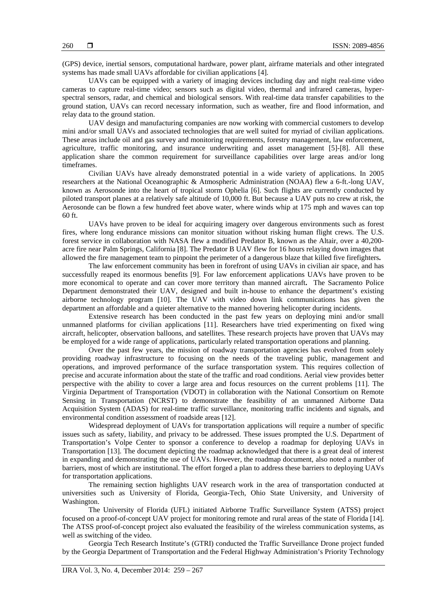(GPS) device, inertial sensors, computational hardware, power plant, airframe materials and other integrated systems has made small UAVs affordable for civilian applications [4].

UAVs can be equipped with a variety of imaging devices including day and night real-time video cameras to capture real-time video; sensors such as digital video, thermal and infrared cameras, hyperspectral sensors, radar, and chemical and biological sensors. With real-time data transfer capabilities to the ground station, UAVs can record necessary information, such as weather, fire and flood information, and relay data to the ground station.

UAV design and manufacturing companies are now working with commercial customers to develop mini and/or small UAVs and associated technologies that are well suited for myriad of civilian applications. These areas include oil and gas survey and monitoring requirements, forestry management, law enforcement, agriculture, traffic monitoring, and insurance underwriting and asset management [5]-[8]. All these application share the common requirement for surveillance capabilities over large areas and/or long timeframes.

Civilian UAVs have already demonstrated potential in a wide variety of applications. In 2005 researchers at the National Oceanographic & Atmospheric Administration (NOAA) flew a 6-ft.-long UAV, known as Aerosonde into the heart of tropical storm Ophelia [6]. Such flights are currently conducted by piloted transport planes at a relatively safe altitude of 10,000 ft. But because a UAV puts no crew at risk, the Aerosonde can be flown a few hundred feet above water, where winds whip at 175 mph and waves can top 60 ft.

UAVs have proven to be ideal for acquiring imagery over dangerous environments such as forest fires, where long endurance missions can monitor situation without risking human flight crews. The U.S. forest service in collaboration with NASA flew a modified Predator B, known as the Altair, over a 40,200 acre fire near Palm Springs, California [8]. The Predator B UAV flew for 16 hours relaying down images that allowed the fire management team to pinpoint the perimeter of a dangerous blaze that killed five firefighters**.**

The law enforcement community has been in forefront of using UAVs in civilian air space, and has successfully reaped its enormous benefits [9]. For law enforcement applications UAVs have proven to be more economical to operate and can cover more territory than manned aircraft**.** The Sacramento Police Department demonstrated their UAV, designed and built in-house to enhance the department's existing airborne technology program [10]. The UAV with video down link communications has given the department an affordable and a quieter alternative to the manned hovering helicopter during incidents.

Extensive research has been conducted in the past few years on deploying mini and/or small unmanned platforms for civilian applications [11]. Researchers have tried experimenting on fixed wing aircraft, helicopter, observation balloons, and satellites. These research projects have proven that UAVs may be employed for a wide range of applications, particularly related transportation operations and planning.

Over the past few years, the mission of roadway transportation agencies has evolved from solely providing roadway infrastructure to focusing on the needs of the traveling public, management and operations, and improved performance of the surface transportation system. This requires collection of precise and accurate information about the state of the traffic and road conditions. Aerial view provides better perspective with the ability to cover a large area and focus resources on the current problems [11]. The Virginia Department of Transportation (VDOT) in collaboration with the National Consortium on Remote Sensing in Transportation (NCRST) to demonstrate the feasibility of an unmanned Airborne Data Acquisition System (ADAS) for real-time traffic surveillance, monitoring traffic incidents and signals, and environmental condition assessment of roadside areas [12].

Widespread deployment of UAVs for transportation applications will require a number of specific issues such as safety, liability, and privacy to be addressed. These issues prompted the U.S. Department of Transportation's Volpe Center to sponsor a conference to develop a roadmap for deploying UAVs in Transportation [13]. The document depicting the roadmap acknowledged that there is a great deal of interest in expanding and demonstrating the use of UAVs. However, the roadmap document, also noted a number of barriers, most of which are institutional. The effort forged a plan to address these barriers to deploying UAVs for transportation applications.

The remaining section highlights UAV research work in the area of transportation conducted at universities such as University of Florida, Georgia-Tech, Ohio State University, and University of Washington.

The University of Florida (UFL) initiated Airborne Traffic Surveillance System (ATSS) project focused on a proof-of-concept UAV project for monitoring remote and rural areas of the state of Florida [14]. The ATSS proof-of-concept project also evaluated the feasibility of the wireless communication systems, as well as switching of the video.

Georgia Tech Research Institute's (GTRI) conducted the Traffic Surveillance Drone project funded by the Georgia Department of Transportation and the Federal Highway Administration's Priority Technology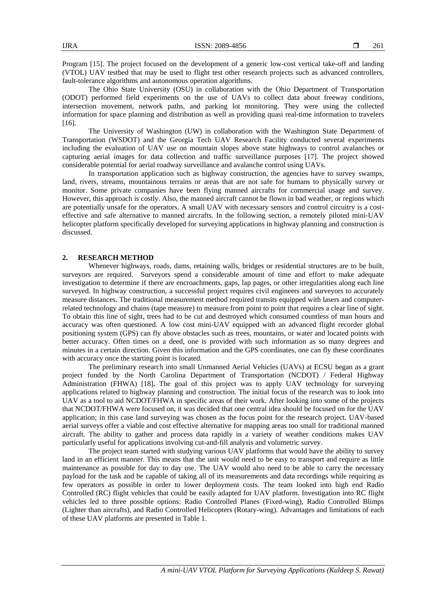Program [15]. The project focused on the development of a generic low-cost vertical take-off and landing (VTOL) UAV testbed that may be used to flight test other research projects such as advanced controllers, fault-tolerance algorithms and autonomous operation algorithms.

The Ohio State University (OSU) in collaboration with the Ohio Department of Transportation (ODOT) performed field experiments on the use of UAVs to collect data about freeway conditions, intersection movement, network paths, and parking lot monitoring. They were using the collected information for space planning and distribution as well as providing quasi real-time information to travelers [16].

The University of Washington (UW) in collaboration with the Washington State Department of Transportation (WSDOT) and the Georgia Tech UAV Research Facility conducted several experiments including the evaluation of UAV use on mountain slopes above state highways to control avalanches or capturing aerial images for data collection and traffic surveillance purposes [17]. The project showed considerable potential for aerial roadway surveillance and avalanche control using UAVs.

In transportation application such as highway construction, the agencies have to survey swamps, land, rivers, streams, mountainous terrains or areas that are not safe for humans to physically survey or monitor. Some private companies have been flying manned aircrafts for commercial usage and survey. However, this approach is costly. Also, the manned aircraft cannot be flown in bad weather, or regions which are potentially unsafe for the operators. A small UAV with necessary sensors and control circuitry is a costeffective and safe alternative to manned aircrafts. In the following section, a remotely piloted mini-UAV helicopter platform specifically developed for surveying applications in highway planning and construction is discussed.

## **2. RESEARCH METHOD**

Whenever highways, roads, dams, retaining walls, bridges or residential structures are to be built, surveyors are required. Surveyors spend a considerable amount of time and effort to make adequate investigation to determine if there are encroachments, gaps, lap pages, or other irregularities along each line surveyed. In highway construction, a successful project requires civil engineers and surveyors to accurately measure distances. The traditional measurement method required transits equipped with lasers and computerrelated technology and chains (tape measure) to measure from point to point that requires a clear line of sight. To obtain this line of sight, trees had to be cut and destroyed which consumed countless of man hours and accuracy was often questioned. A low cost mini-UAV equipped with an advanced flight recorder global positioning system (GPS) can fly above obstacles such as trees, mountains, or water and located points with better accuracy. Often times on a deed, one is provided with such information as so many degrees and minutes in a certain direction. Given this information and the GPS coordinates, one can fly these coordinates with accuracy once the starting point is located.

The preliminary research into small Unmanned Aerial Vehicles (UAVs) at ECSU began as a grant project funded by the North Carolina Department of Transportation (NCDOT) / Federal Highway Administration (FHWA) [18]**.** The goal of this project was to apply UAV technology for surveying applications related to highway planning and construction. The initial focus of the research was to look into UAV as a tool to aid NCDOT/FHWA in specific areas of their work. After looking into some of the projects that NCDOT/FHWA were focused on, it was decided that one central idea should be focused on for the UAV application; in this case land surveying was chosen as the focus point for the research project. UAV-based aerial surveys offer a viable and cost effective alternative for mapping areas too small for traditional manned aircraft. The ability to gather and process data rapidly in a variety of weather conditions makes UAV particularly useful for applications involving cut-and-fill analysis and volumetric survey.

The project team started with studying various UAV platforms that would have the ability to survey land in an efficient manner. This means that the unit would need to be easy to transport and require as little maintenance as possible for day to day use. The UAV would also need to be able to carry the necessary payload for the task and be capable of taking all of its measurements and data recordings while requiring as few operators as possible in order to lower deployment costs. The team looked into high end Radio Controlled (RC) flight vehicles that could be easily adapted for UAV platform. Investigation into RC flight vehicles led to three possible options: Radio Controlled Planes (Fixed-wing), Radio Controlled Blimps (Lighter than aircrafts), and Radio Controlled Helicopters (Rotary-wing). Advantages and limitations of each of these UAV platforms are presented in Table 1.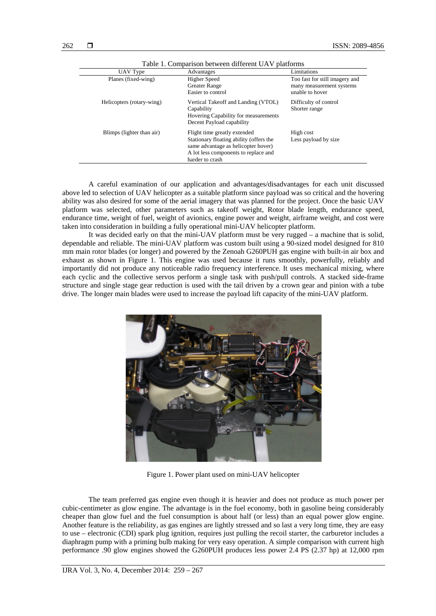| UAV Type                  | Advantages                                                                                                                                                                | Limitations                                                                   |
|---------------------------|---------------------------------------------------------------------------------------------------------------------------------------------------------------------------|-------------------------------------------------------------------------------|
| Planes (fixed-wing)       | <b>Higher Speed</b><br><b>Greater Range</b><br>Easier to control                                                                                                          | Too fast for still imagery and<br>many measurement systems<br>unable to hover |
| Helicopters (rotary-wing) | Vertical Takeoff and Landing (VTOL)<br>Capability<br>Hovering Capability for measurements<br>Decent Payload capability                                                    | Difficulty of control<br>Shorter range                                        |
| Blimps (lighter than air) | Flight time greatly extended<br>Stationary floating ability (offers the<br>same advantage as helicopter hover)<br>A lot less components to replace and<br>harder to crash | High cost<br>Less payload by size                                             |

Table 1. Comparison between different UAV platforms

A careful examination of our application and advantages/disadvantages for each unit discussed above led to selection of UAV helicopter as a suitable platform since payload was so critical and the hovering ability was also desired for some of the aerial imagery that was planned for the project. Once the basic UAV platform was selected, other parameters such as takeoff weight, Rotor blade length, endurance speed, endurance time, weight of fuel, weight of avionics, engine power and weight, airframe weight, and cost were taken into consideration in building a fully operational mini-UAV helicopter platform.

It was decided early on that the mini-UAV platform must be very rugged – a machine that is solid, dependable and reliable. The mini-UAV platform was custom built using a 90-sized model designed for 810 mm main rotor blades (or longer) and powered by the Zenoah G260PUH gas engine with built-in air box and exhaust as shown in Figure 1. This engine was used because it runs smoothly, powerfully, reliably and importantly did not produce any noticeable radio frequency interference. It uses mechanical mixing, where each cyclic and the collective servos perform a single task with push/pull controls. A stacked side-frame structure and single stage gear reduction is used with the tail driven by a crown gear and pinion with a tube drive. The longer main blades were used to increase the payload lift capacity of the mini-UAV platform.



Figure 1. Power plant used on mini-UAV helicopter

The team preferred gas engine even though it is heavier and does not produce as much power per cubic-centimeter as glow engine. The advantage is in the fuel economy, both in gasoline being considerably cheaper than glow fuel and the fuel consumption is about half (or less) than an equal power glow engine. Another feature is the reliability, as gas engines are lightly stressed and so last a very long time, they are easy to use – electronic (CDI) spark plug ignition, requires just pulling the recoil starter, the carburetor includes a diaphragm pump with a priming bulb making for very easy operation. A simple comparison with current high performance .90 glow engines showed the G260PUH produces less power 2.4 PS (2.37 hp) at 12,000 rpm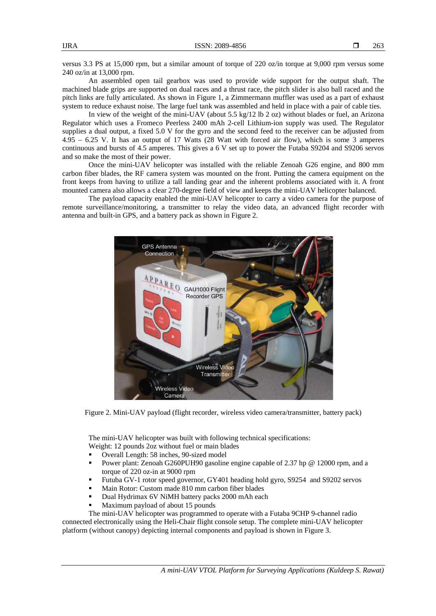versus 3.3 PS at 15,000 rpm, but a similar amount of torque of 220 oz/in torque at 9,000 rpm versus some 240 oz/in at 13,000 rpm.

An assembled open tail gearbox was used to provide wide support for the output shaft. The machined blade grips are supported on dual races and a thrust race, the pitch slider is also ball raced and the pitch links are fully articulated. As shown in Figure 1, a Zimmermann muffler was used as a part of exhaust system to reduce exhaust noise. The large fuel tank was assembled and held in place with a pair of cable ties.

In view of the weight of the mini-UAV (about 5.5 kg/12 lb 2 oz) without blades or fuel, an Arizona Regulator which uses a Fromeco Peerless 2400 mAh 2-cell Lithium-ion supply was used. The Regulator supplies a dual output, a fixed 5.0 V for the gyro and the second feed to the receiver can be adjusted from 4.95 – 6.25 V. It has an output of 17 Watts (28 Watt with forced air flow), which is some 3 amperes continuous and bursts of 4.5 amperes. This gives a 6 V set up to power the Futaba S9204 and S9206 servos and so make the most of their power.

Once the mini-UAV helicopter was installed with the reliable Zenoah G26 engine, and 800 mm carbon fiber blades, the RF camera system was mounted on the front. Putting the camera equipment on the front keeps from having to utilize a tall landing gear and the inherent problems associated with it. A front mounted camera also allows a clear 270-degree field of view and keeps the mini-UAV helicopter balanced.

The payload capacity enabled the mini-UAV helicopter to carry a video camera for the purpose of remote surveillance/monitoring, a transmitter to relay the video data, an advanced flight recorder with antenna and built-in GPS, and a battery pack as shown in Figure 2.



Figure 2. Mini-UAV payload (flight recorder, wireless video camera/transmitter, battery pack)

The mini-UAV helicopter was built with following technical specifications: Weight: 12 pounds 2oz without fuel or main blades

- 
- Overall Length: 58 inches, 90-sized model
- Power plant: Zenoah G260PUH90 gasoline engine capable of 2.37 hp @ 12000 rpm, and a torque of 220 oz-in at 9000 rpm
- Futuba GV-1 rotor speed governor, GY401 heading hold gyro, S9254 and S9202 servos
- Main Rotor: Custom made 810 mm carbon fiber blades
- Dual Hydrimax 6V NiMH battery packs 2000 mAh each
- Maximum payload of about 15 pounds

The mini-UAV helicopter was programmed to operate with a Futaba 9CHP 9-channel radio connected electronically using the Heli-Chair flight console setup. The complete mini-UAV helicopter platform (without canopy) depicting internal components and payload is shown in Figure 3.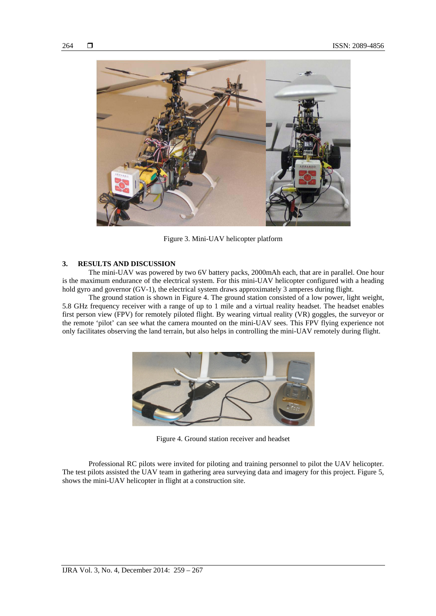

Figure 3. Mini-UAV helicopter platform

# **3. RESULTS AND DISCUSSION**

The mini-UAV was powered by two 6V battery packs, 2000mAh each, that are in parallel. One hour is the maximum endurance of the electrical system. For this mini-UAV helicopter configured with a heading hold gyro and governor (GV-1), the electrical system draws approximately 3 amperes during flight.

The ground station is shown in Figure 4. The ground station consisted of a low power, light weight, 5.8 GHz frequency receiver with a range of up to 1 mile and a virtual reality headset. The headset enables first person view (FPV) for remotely piloted flight. By wearing virtual reality (VR) goggles, the surveyor or the remote 'pilot' can see what the camera mounted on the mini-UAV sees. This FPV flying experience not only facilitates observing the land terrain, but also helps in controlling the mini-UAV remotely during flight.



Figure 4. Ground station receiver and headset

Professional RC pilots were invited for piloting and training personnel to pilot the UAV helicopter. The test pilots assisted the UAV team in gathering area surveying data and imagery for this project. Figure 5, shows the mini-UAV helicopter in flight at a construction site.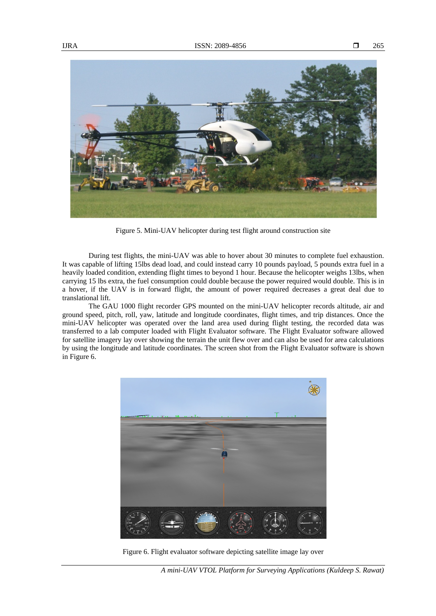

Figure 5. Mini-UAV helicopter during test flight around construction site

During test flights, the mini-UAV was able to hover about 30 minutes to complete fuel exhaustion. It was capable of lifting 15lbs dead load, and could instead carry 10 pounds payload, 5 pounds extra fuel in a heavily loaded condition, extending flight times to beyond 1 hour. Because the helicopter weighs 13lbs, when carrying 15 lbs extra, the fuel consumption could double because the power required would double. This is in a hover, if the UAV is in forward flight, the amount of power required decreases a great deal due to translational lift.

The GAU 1000 flight recorder GPS mounted on the mini-UAV helicopter records altitude, air and ground speed, pitch, roll, yaw, latitude and longitude coordinates, flight times, and trip distances. Once the mini-UAV helicopter was operated over the land area used during flight testing, the recorded data was transferred to a lab computer loaded with Flight Evaluator software. The Flight Evaluator software allowed for satellite imagery lay over showing the terrain the unit flew over and can also be used for area calculations by using the longitude and latitude coordinates. The screen shot from the Flight Evaluator software is shown in Figure 6.



Figure 6. Flight evaluator software depicting satellite image lay over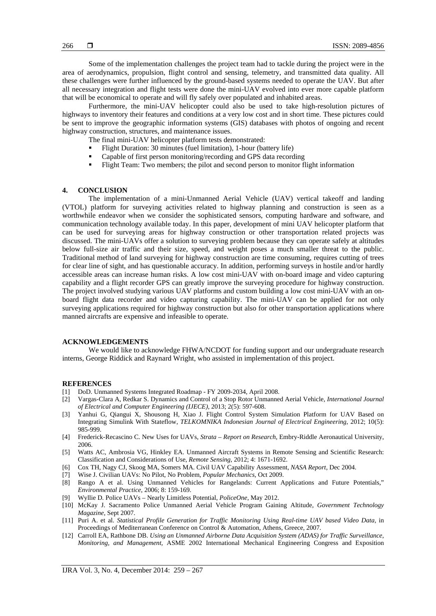Some of the implementation challenges the project team had to tackle during the project were in the area of aerodynamics, propulsion, flight control and sensing, telemetry, and transmitted data quality. All these challenges were further influenced by the ground-based systems needed to operate the UAV. But after all necessary integration and flight tests were done the mini-UAV evolved into ever more capable platform that will be economical to operate and will fly safely over populated and inhabited areas.

Furthermore, the mini-UAV helicopter could also be used to take high-resolution pictures of highways to inventory their features and conditions at a very low cost and in short time. These pictures could be sent to improve the geographic information systems (GIS) databases with photos of ongoing and recent highway construction, structures, and maintenance issues.

- The final mini-UAV helicopter platform tests demonstrated:
- Flight Duration: 30 minutes (fuel limitation), 1-hour (battery life)
- Capable of first person monitoring/recording and GPS data recording
- Flight Team: Two members; the pilot and second person to monitor flight information

# **4. CONCLUSION**

The implementation of a mini-Unmanned Aerial Vehicle (UAV) vertical takeoff and landing (VTOL) platform for surveying activities related to highway planning and construction is seen as a worthwhile endeavor when we consider the sophisticated sensors, computing hardware and software, and communication technology available today. In this paper, development of mini UAV helicopter platform that can be used for surveying areas for highway construction or other transportation related projects was discussed. The mini-UAVs offer a solution to surveying problem because they can operate safely at altitudes below full-size air traffic and their size, speed, and weight poses a much smaller threat to the public. Traditional method of land surveying for highway construction are time consuming, requires cutting of trees for clear line of sight, and has questionable accuracy. In addition, performing surveys in hostile and/or hardly accessible areas can increase human risks. A low cost mini-UAV with on-board image and video capturing capability and a flight recorder GPS can greatly improve the surveying procedure for highway construction. The project involved studying various UAV platforms and custom building a low cost mini-UAV with an onboard flight data recorder and video capturing capability. The mini-UAV can be applied for not only surveying applications required for highway construction but also for other transportation applications where manned aircrafts are expensive and infeasible to operate.

# **ACKNOWLEDGEMENTS**

We would like to acknowledge FHWA/NCDOT for funding support and our undergraduate research interns, George Riddick and Raynard Wright, who assisted in implementation of this project.

#### **REFERENCES**

- [1] DoD. Unmanned Systems Integrated Roadmap FY 2009-2034, April 2008.
- [2] Vargas-Clara A, Redkar S. Dynamics and Control of a Stop Rotor Unmanned Aerial Vehicle, *International Journal of Electrical and Computer Engineering (IJECE),* 2013; 2(5): 597-608.
- [3] Yanhui G, Qiangui X, Shousong H, Xiao J. Flight Control System Simulation Platform for UAV Based on Integrating Simulink With Stateflow, *TELKOMNIKA Indonesian Journal of Electrical Engineering*, 2012; 10(5): 985-999.
- [4] Frederick-Recascino C. New Uses for UAVs, *Strata Report on Research*, Embry-Riddle Aeronautical University, 2006.
- [5] Watts AC, Ambrosia VG, Hinkley EA. Unmanned Aircraft Systems in Remote Sensing and Scientific Research: Classification and Considerations of Use, *Remote Sensing,* 2012; 4: 1671-1692.
- [6] Cox TH, Nagy CJ, Skoog MA, Somers MA. Civil UAV Capability Assessment, *NASA Report*, Dec 2004.
- [7] Wise J. Civilian UAVs: No Pilot, No Problem, *Popular Mechanics,* Oct 2009.
- [8] Rango A et al. Using Unmanned Vehicles for Rangelands: Current Applications and Future Potentials," *Environmental Practice*, 2006; 8: 159-169.
- [9] Wyllie D. Police UAVs Nearly Limitless Potential, *PoliceOne*, May 2012.
- [10] McKay J. Sacramento Police Unmanned Aerial Vehicle Program Gaining Altitude, *Government Technology Magazine*, Sept 2007.
- [11] Puri A. et al. *Statistical Profile Generation for Traffic Monitoring Using Real-time UAV based Video Data,* in Proceedings of Mediterranean Conference on Control & Automation, Athens, Greece, 2007.
- [12] Carroll EA, Rathbone DB. *Using an Unmanned Airborne Data Acquisition System (ADAS) for Traffic Surveillance, Monitoring, and Management,* ASME 2002 International Mechanical Engineering Congress and Exposition